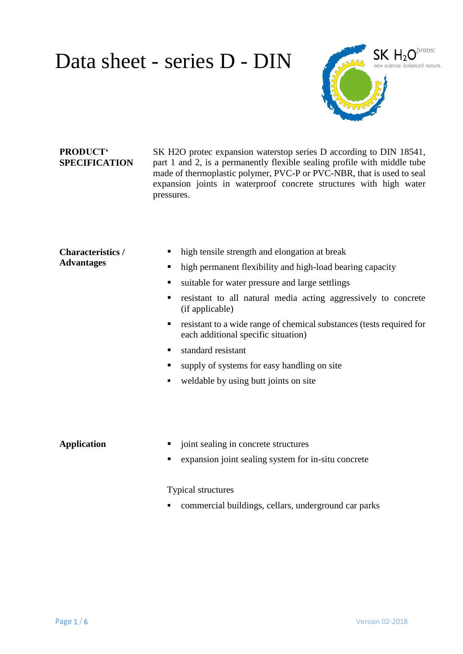

## **PRODUCT' SPECIFICATION**

SK H2O protec expansion waterstop series D according to DIN 18541, part 1 and 2, is a permanently flexible sealing profile with middle tube made of thermoplastic polymer, PVC-P or PVC-NBR, that is used to seal expansion joints in waterproof concrete structures with high water pressures.

#### **Characteristics / Advantages**

- high tensile strength and elongation at break
- high permanent flexibility and high-load bearing capacity
- ultable for water pressure and large settlings
- resistant to all natural media acting aggressively to concrete (if applicable)
- **resistant to a wide range of chemical substances (tests required for** each additional specific situation)
- standard resistant
- supply of systems for easy handling on site
- weldable by using butt joints on site

- **Application**  $\blacksquare$  joint sealing in concrete structures
	- expansion joint sealing system for in-situ concrete

#### Typical structures

commercial buildings, cellars, underground car parks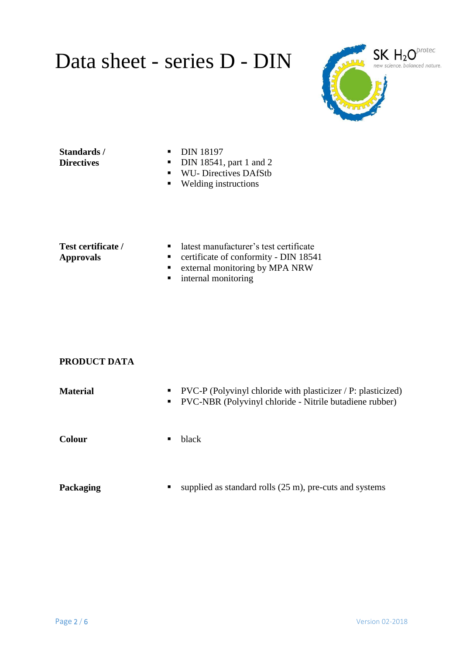

### **Standards / Directives**

- **DIN 18197**
- $\blacksquare$  DIN 18541, part 1 and 2
- WU- Directives DAfStb
- Welding instructions

#### **Test certificate / Approvals**

- latest manufacturer's test certificate
- certificate of conformity DIN 18541
- **External monitoring by MPA NRW**
- **n** internal monitoring

### **PRODUCT DATA**

| <b>Material</b> | $\text{PVC-P}$ (Polyvinyl chloride with plasticizer / P: plasticized)<br>$\blacksquare$<br>PVC-NBR (Polyvinyl chloride - Nitrile butadiene rubber)<br>$\blacksquare$ . |
|-----------------|------------------------------------------------------------------------------------------------------------------------------------------------------------------------|
| <b>Colour</b>   | black<br>п.                                                                                                                                                            |
| Packaging       | supplied as standard rolls $(25 \text{ m})$ , pre-cuts and systems<br>п                                                                                                |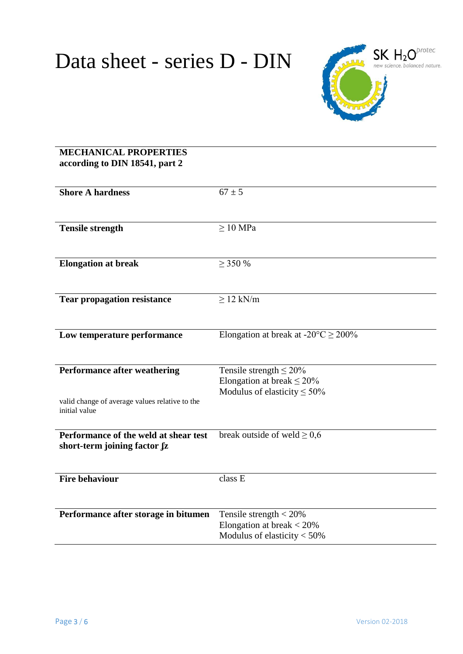

## **MECHANICAL PROPERTIES according to DIN 18541, part 2**

| <b>Shore A hardness</b>                        | $67 \pm 5$                                         |
|------------------------------------------------|----------------------------------------------------|
|                                                |                                                    |
|                                                |                                                    |
| <b>Tensile strength</b>                        | $\geq 10$ MPa                                      |
|                                                |                                                    |
|                                                |                                                    |
| <b>Elongation at break</b>                     | $\geq$ 350 %                                       |
|                                                |                                                    |
|                                                |                                                    |
|                                                |                                                    |
| <b>Tear propagation resistance</b>             | $\geq$ 12 kN/m                                     |
|                                                |                                                    |
|                                                |                                                    |
| Low temperature performance                    | Elongation at break at $-20^{\circ}$ C $\geq$ 200% |
|                                                |                                                    |
|                                                |                                                    |
| <b>Performance after weathering</b>            | Tensile strength $\leq 20\%$                       |
|                                                | Elongation at break $\leq$ 20%                     |
|                                                | Modulus of elasticity $\leq 50\%$                  |
| valid change of average values relative to the |                                                    |
| initial value                                  |                                                    |
|                                                |                                                    |
| Performance of the weld at shear test          | break outside of weld $\geq 0.6$                   |
| short-term joining factor fz                   |                                                    |
|                                                |                                                    |
|                                                |                                                    |
| <b>Fire behaviour</b>                          | class E                                            |
|                                                |                                                    |
|                                                |                                                    |
| Performance after storage in bitumen           | Tensile strength $<$ 20%                           |
|                                                | Elongation at break $<$ 20%                        |
|                                                | Modulus of elasticity $<$ 50%                      |
|                                                |                                                    |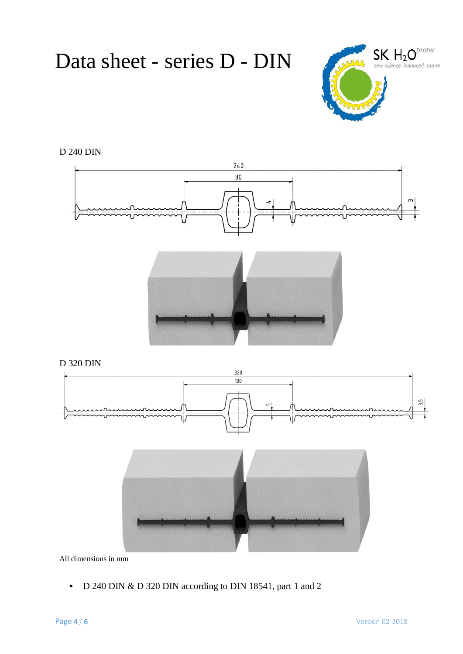

D 240 DIN





D 320 DIN





All dimensions in mm

D 240 DIN & D 320 DIN according to DIN 18541, part 1 and 2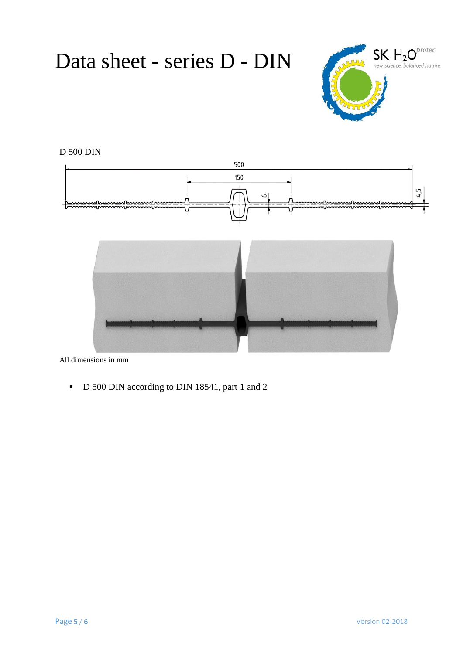

# D 500 DIN





All dimensions in mm

D 500 DIN according to DIN 18541, part 1 and 2